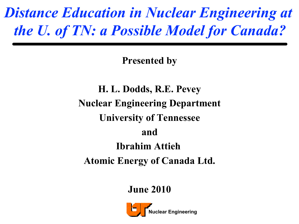#### *Distance Education in Nuclear Engineering at the U. of TN: a Possible Model for Canada?*

**Presented by** 

**H. L. Dodds, R.E. Pevey Nuclear Engineering Department University of Tennessee and Ibrahim Attieh Atomic Energy of Canada Ltd.** 

**June 2010** 

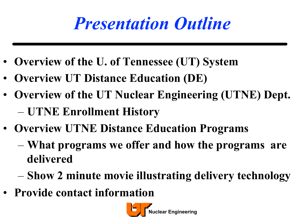### *Presentation Outline*

- **Overview of the U. of Tennessee (UT) System**
- **Overview UT Distance Education (DE)**
- **Overview of the UT Nuclear Engineering (UTNE) Dept.**  – **UTNE Enrollment History**
- **Overview UTNE Distance Education Programs** 
	- **What programs we offer and how the programs are delivered**
	- **Show 2 minute movie illustrating delivery technology**
- **Provide contact information**

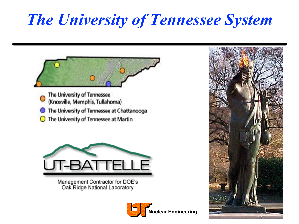### *The University of Tennessee System*

The University of Tennessee<br>
(Knoxville, Memphis, Tullahoma) The University of Tennessee at Chattanooga  $\bigcirc$  The University of Tennessee at Martin



Management Contractor for DOE's Oak Ridge National Laboratory



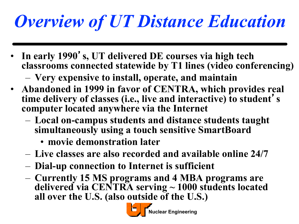# *Overview of UT Distance Education*

• **In early 1990**'**s, UT delivered DE courses via high tech classrooms connected statewide by T1 lines (video conferencing)** 

– **Very expensive to install, operate, and maintain** 

- **Abandoned in 1999 in favor of CENTRA, which provides real time delivery of classes (i.e., live and interactive) to student**' **s computer located anywhere via the Internet** 
	- **Local on-campus students and distance students taught simultaneously using a touch sensitive SmartBoard** 
		- **movie demonstration later**
	- **Live classes are also recorded and available online 24/7**
	- **Dial-up connection to Internet is sufficient**
	- **Currently 15 MS programs and 4 MBA programs are delivered via CENTRA serving ~ 1000 students located all over the U.S. (also outside of the U.S.)**

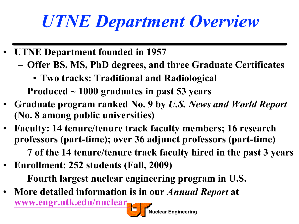# *UTNE Department Overview*

- **UTNE Department founded in 1957** 
	- **Offer BS, MS, PhD degrees, and three Graduate Certificates** 
		- **Two tracks: Traditional and Radiological**
	- **Produced ~ 1000 graduates in past 53 years**
- **Graduate program ranked No. 9 by** *U.S. News and World Report*  **(No. 8 among public universities)**
- **Faculty: 14 tenure/tenure track faculty members; 16 research professors (part-time); over 36 adjunct professors (part-time)** 
	- **7 of the 14 tenure/tenure track faculty hired in the past 3 years**

**Nuclear Engineering** 

- **Enrollment: 252 students (Fall, 2009)** 
	- **Fourth largest nuclear engineering program in U.S.**
- **More detailed information is in our** *Annual Report* **at www.engr.utk.edu/nuclear**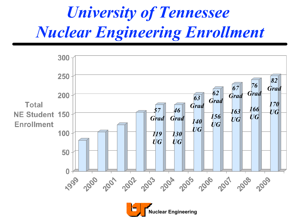### *University of Tennessee Nuclear Engineering Enrollment*

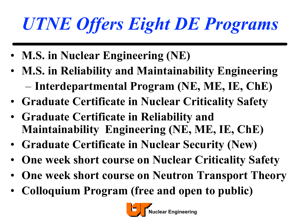# *UTNE Offers Eight DE Programs*

- **M.S. in Nuclear Engineering (NE)**
- **M.S. in Reliability and Maintainability Engineering**  – **Interdepartmental Program (NE, ME, IE, ChE)**
- **Graduate Certificate in Nuclear Criticality Safety**
- **Graduate Certificate in Reliability and Maintainability Engineering (NE, ME, IE, ChE)**
- **Graduate Certificate in Nuclear Security (New)**
- **One week short course on Nuclear Criticality Safety**
- **One week short course on Neutron Transport Theory**
- **Colloquium Program (free and open to public)**

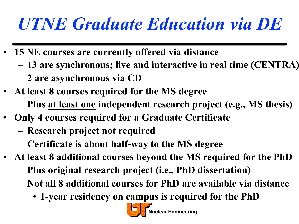# *UTNE Graduate Education via DE*

- **15 NE courses are currently offered via distance** 
	- **13 are synchronous; live and interactive in real time (CENTRA)**
	- **2 are asynchronous via CD**
- **At least 8 courses required for the MS degree** 
	- **Plus at least one independent research project (e.g., MS thesis)**
- **Only 4 courses required for a Graduate Certificate** 
	- **Research project not required**
	- **Certificate is about half-way to the MS degree**
- **At least 8 additional courses beyond the MS required for the PhD** 
	- **Plus original research project (i.e., PhD dissertation)**
	- **Not all 8 additional courses for PhD are available via distance** 
		- **1-year residency on campus is required for the PhD**

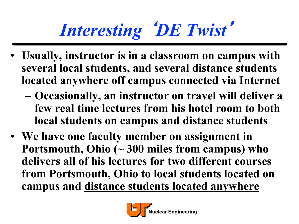# *Interesting* <sup>ʻ</sup>*DE Twist*<sup>&#</sup>x27;

- **Usually, instructor is in a classroom on campus with several local students, and several distance students located anywhere off campus connected via Internet** 
	- **Occasionally, an instructor on travel will deliver a few real time lectures from his hotel room to both local students on campus and distance students**
- **We have one faculty member on assignment in Portsmouth, Ohio (~ 300 miles from campus) who delivers all of his lectures for two different courses from Portsmouth, Ohio to local students located on campus and distance students located anywhere**

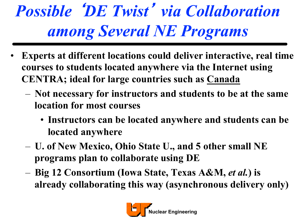# *Possible* <sup>ʻ</sup>*DE Twist*<sup>&#</sup>x27; *via Collaboration among Several NE Programs*

- **Experts at different locations could deliver interactive, real time courses to students located anywhere via the Internet using CENTRA; ideal for large countries such as Canada** 
	- **Not necessary for instructors and students to be at the same location for most courses** 
		- **Instructors can be located anywhere and students can be located anywhere**
	- **U. of New Mexico, Ohio State U., and 5 other small NE programs plan to collaborate using DE**
	- **Big 12 Consortium (Iowa State, Texas A&M,** *et al.***) is already collaborating this way (asynchronous delivery only)**

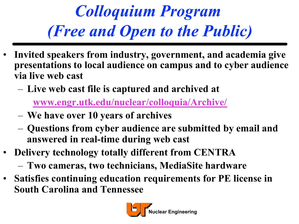*Colloquium Program (Free and Open to the Public)* 

- **Invited speakers from industry, government, and academia give presentations to local audience on campus and to cyber audience via live web cast** 
	- **Live web cast file is captured and archived at**

**www.engr.utk.edu/nuclear/colloquia/Archive/**

- **We have over 10 years of archives**
- **Questions from cyber audience are submitted by email and answered in real-time during web cast**
- **Delivery technology totally different from CENTRA** 
	- **Two cameras, two technicians, MediaSite hardware**
- **Satisfies continuing education requirements for PE license in South Carolina and Tennessee**

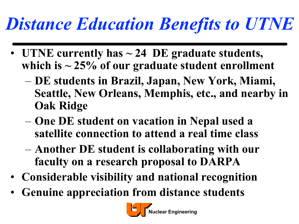# *Distance Education Benefits to UTNE*

- **UTNE currently has ~ 24 DE graduate students, which is ~ 25% of our graduate student enrollment** 
	- **DE students in Brazil, Japan, New York, Miami, Seattle, New Orleans, Memphis, etc., and nearby in Oak Ridge**
	- **One DE student on vacation in Nepal used a satellite connection to attend a real time class**
	- **Another DE student is collaborating with our faculty on a research proposal to DARPA**
- **Considerable visibility and national recognition**
- **Genuine appreciation from distance students**

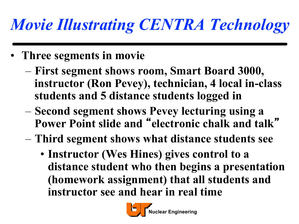### *Movie Illustrating CENTRA Technology*

- **Three segments in movie**
	- **First segment shows room, Smart Board 3000, instructor (Ron Pevey), technician, 4 local in-class students and 5 distance students logged in**
	- **Second segment shows Pevey lecturing using a Power Point slide and** "**electronic chalk and talk**"
	- **Third segment shows what distance students see** 
		- **Instructor (Wes Hines) gives control to a distance student who then begins a presentation (homework assignment) that all students and instructor see and hear in real time**

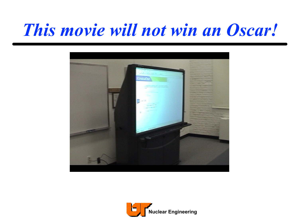#### *This movie will not win an Oscar!*



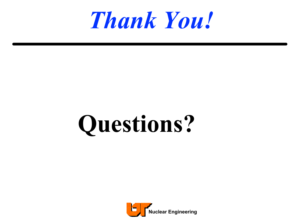

# **Questions?**